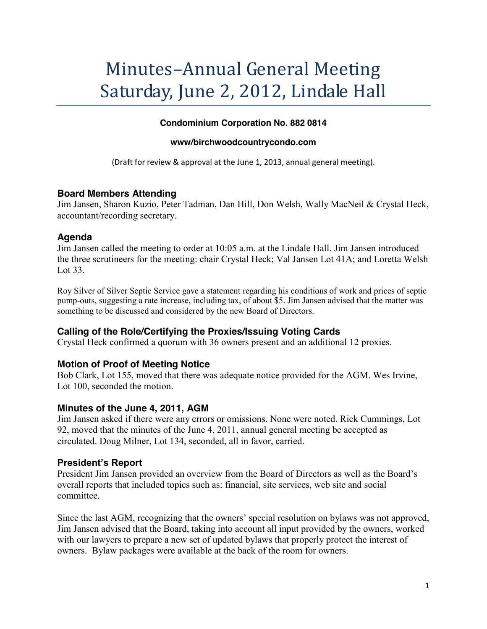# Minutes-Annual General Meeting Saturday, June 2, 2012, Lindale Hall

#### **Condominium Corporation No. 882 0814**

#### **www/birchwoodcountrycondo.com**

(Draft for review & approval at the June 1, 2013, annual general meeting).

# **Board Members Attending**

Jim Jansen, Sharon Kuzio, Peter Tadman, Dan Hill, Don Welsh, Wally MacNeil & Crystal Heck, accountant/recording secretary.

## **Agenda**

Jim Jansen called the meeting to order at 10:05 a.m. at the Lindale Hall. Jim Jansen introduced the three scrutineers for the meeting: chair Crystal Heck; Val Jansen Lot 41A; and Loretta Welsh Lot 33.

Roy Silver of Silver Septic Service gave a statement regarding his conditions of work and prices of septic pump-outs, suggesting a rate increase, including tax, of about \$5. Jim Jansen advised that the matter was something to be discussed and considered by the new Board of Directors.

# **Calling of the Role/Certifying the Proxies/Issuing Voting Cards**

Crystal Heck confirmed a quorum with 36 owners present and an additional 12 proxies.

# **Motion of Proof of Meeting Notice**

Bob Clark, Lot 155, moved that there was adequate notice provided for the AGM. Wes Irvine, Lot 100, seconded the motion.

#### **Minutes of the June 4, 2011, AGM**

Jim Jansen asked if there were any errors or omissions. None were noted. Rick Cummings, Lot 92, moved that the minutes of the June 4, 2011, annual general meeting be accepted as circulated. Doug Milner, Lot 134, seconded, all in favor, carried.

# **President's Report**

President Jim Jansen provided an overview from the Board of Directors as well as the Board's overall reports that included topics such as: financial, site services, web site and social committee.

Since the last AGM, recognizing that the owners' special resolution on bylaws was not approved, Jim Jansen advised that the Board, taking into account all input provided by the owners, worked with our lawyers to prepare a new set of updated bylaws that properly protect the interest of owners. Bylaw packages were available at the back of the room for owners.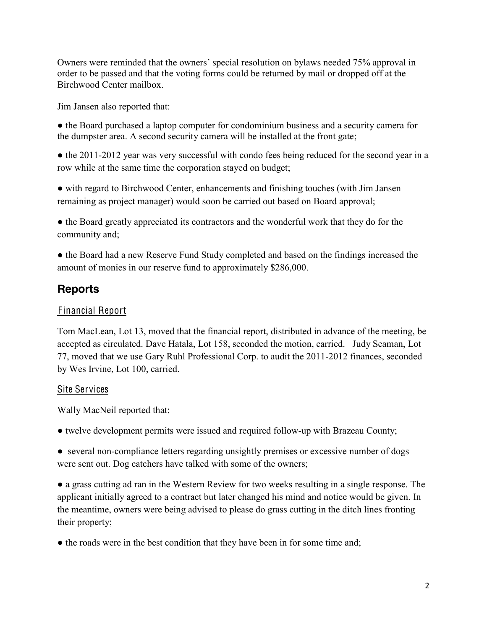Owners were reminded that the owners' special resolution on bylaws needed 75% approval in order to be passed and that the voting forms could be returned by mail or dropped off at the Birchwood Center mailbox.

Jim Jansen also reported that:

• the Board purchased a laptop computer for condominium business and a security camera for the dumpster area. A second security camera will be installed at the front gate;

• the 2011-2012 year was very successful with condo fees being reduced for the second year in a row while at the same time the corporation stayed on budget;

• with regard to Birchwood Center, enhancements and finishing touches (with Jim Jansen) remaining as project manager) would soon be carried out based on Board approval;

• the Board greatly appreciated its contractors and the wonderful work that they do for the community and;

• the Board had a new Reserve Fund Study completed and based on the findings increased the amount of monies in our reserve fund to approximately \$286,000.

# **Reports**

# Financial Report

Tom MacLean, Lot 13, moved that the financial report, distributed in advance of the meeting, be accepted as circulated. Dave Hatala, Lot 158, seconded the motion, carried. Judy Seaman, Lot 77, moved that we use Gary Ruhl Professional Corp. to audit the 2011-2012 finances, seconded by Wes Irvine, Lot 100, carried.

# Site Services

Wally MacNeil reported that:

• twelve development permits were issued and required follow-up with Brazeau County;

• several non-compliance letters regarding unsightly premises or excessive number of dogs were sent out. Dog catchers have talked with some of the owners;

• a grass cutting ad ran in the Western Review for two weeks resulting in a single response. The applicant initially agreed to a contract but later changed his mind and notice would be given. In the meantime, owners were being advised to please do grass cutting in the ditch lines fronting their property;

• the roads were in the best condition that they have been in for some time and;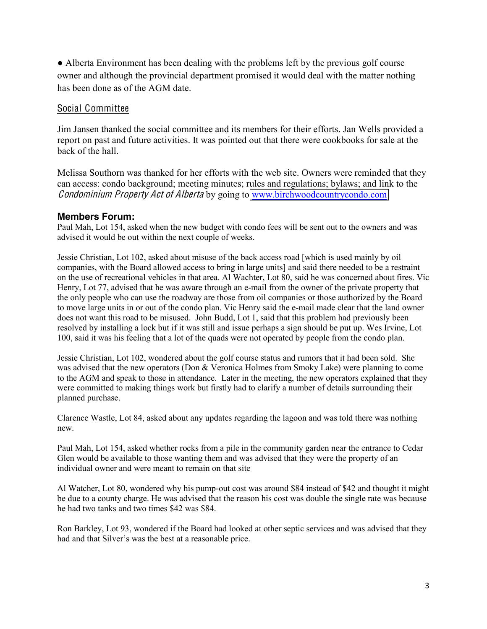• Alberta Environment has been dealing with the problems left by the previous golf course owner and although the provincial department promised it would deal with the matter nothing has been done as of the AGM date.

#### Social Committee

Jim Jansen thanked the social committee and its members for their efforts. Jan Wells provided a report on past and future activities. It was pointed out that there were cookbooks for sale at the back of the hall.

Melissa Southorn was thanked for her efforts with the web site. Owners were reminded that they can access: condo background; meeting minutes; rules and regulations; bylaws; and link to the Condominium Prop<sup>e</sup>rty Ac<sup>t</sup> <sup>o</sup>f Albert<sup>a</sup> by going to [www.birchwoodcountrycondo.com](http://www.birchwoodcountrycondo.com/)

## **Members Forum:**

Paul Mah, Lot 154, asked when the new budget with condo fees will be sent out to the owners and was advised it would be out within the next couple of weeks.

Jessie Christian, Lot 102, asked about misuse of the back access road [which is used mainly by oil companies, with the Board allowed access to bring in large units] and said there needed to be a restraint on the use of recreational vehicles in that area. Al Wachter, Lot 80, said he was concerned about fires. Vic Henry, Lot 77, advised that he was aware through an e-mail from the owner of the private property that the only people who can use the roadway are those from oil companies or those authorized by the Board to move large units in or out of the condo plan. Vic Henry said the e-mail made clear that the land owner does not want this road to be misused. John Budd, Lot 1, said that this problem had previously been resolved by installing a lock but if it was still and issue perhaps a sign should be put up. Wes Irvine, Lot 100, said it was his feeling that a lot of the quads were not operated by people from the condo plan.

Jessie Christian, Lot 102, wondered about the golf course status and rumors that it had been sold. She was advised that the new operators (Don & Veronica Holmes from Smoky Lake) were planning to come to the AGM and speak to those in attendance. Later in the meeting, the new operators explained that they were committed to making things work but firstly had to clarify a number of details surrounding their planned purchase.

Clarence Wastle, Lot 84, asked about any updates regarding the lagoon and was told there was nothing new.

Paul Mah, Lot 154, asked whether rocks from a pile in the community garden near the entrance to Cedar Glen would be available to those wanting them and was advised that they were the property of an individual owner and were meant to remain on that site

Al Watcher, Lot 80, wondered why his pump-out cost was around \$84 instead of \$42 and thought it might be due to a county charge. He was advised that the reason his cost was double the single rate was because he had two tanks and two times \$42 was \$84.

Ron Barkley, Lot 93, wondered if the Board had looked at other septic services and was advised that they had and that Silver's was the best at a reasonable price.